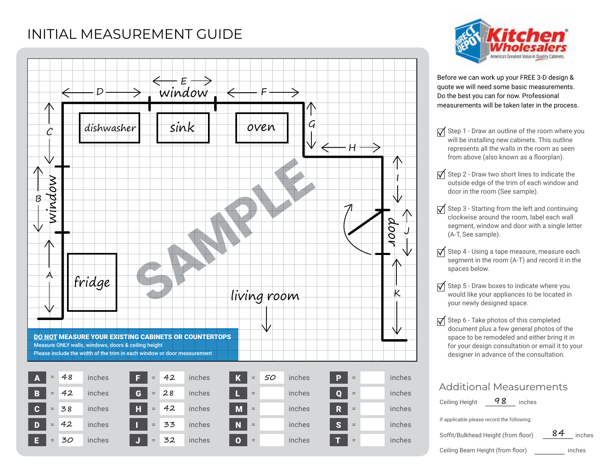## INITIAL MEASUREMENT GUIDE





Before we can work up your FREE 3-D design & quote we will need some basic measurements. Do the best you can for now. Professional measurements will be taken later in the process.

- $\sqrt{\phantom{a}}$  Step 1 Draw an outline of the room where you will be installing new cabinets. This outline represents all the walls in the room as seen from above (also known as a floorplan).
- $\sqrt{\phantom{a}}$  Step 2 Draw two short lines to indicate the outside edge of the trim of each window and door in the room (See sample).
- $\sqrt{\ }$  Step 3 Starting from the left and continuing clockwise around the room, label each wall segment, window and door with a single letter (A-T, See sample).
- $\sqrt{\phantom{a}}$  Step 4 Using a tape measure, measure each segment in the room (A-T) and record it in the spaces below.
- $\sqrt{\phantom{a}}$  Step 5 Draw boxes to indicate where you would like your appliances to be located in your newly designed space.
- $\sqrt{\phantom{a}}$  Step 6 Take photos of this completed document plus a few general photos of the space to be remodeled and either bring it in for your design consultation or email it to your designer in advance of the consultation.

| <b>Additional Measurements</b>             |              |
|--------------------------------------------|--------------|
| 48<br>Ceiling Height<br>inches             |              |
| If applicable please record the following: |              |
| Soffit/Bulkhead Height (from floor)        | 84<br>inches |
| Ceiling Beam Height (from floor)           | inches       |